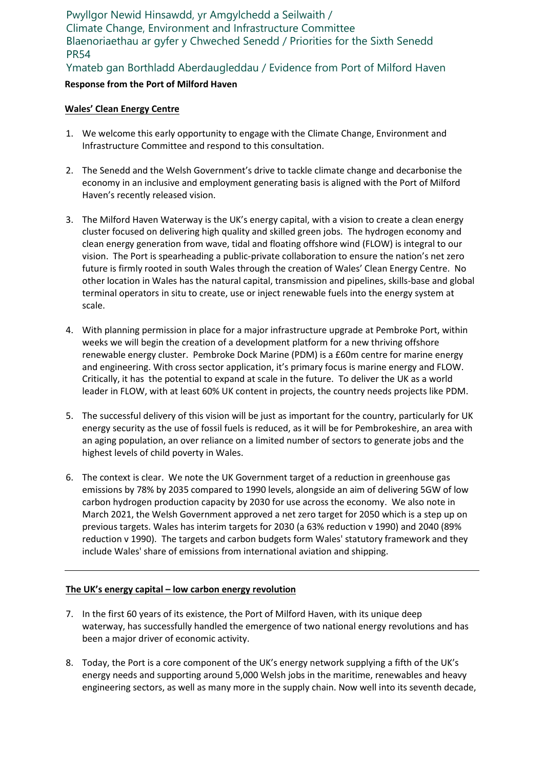Pwyllgor Newid Hinsawdd, yr Amgylchedd a Seilwaith / Climate Change, Environment and Infrastructure Committee Blaenoriaethau ar gyfer y Chweched Senedd / Priorities for the Sixth Senedd PR54

Ymateb gan Borthladd Aberdaugleddau / Evidence from Port of Milford Haven

# **Response from the Port of Milford Haven**

#### **Wales' Clean Energy Centre**

- 1. We welcome this early opportunity to engage with the Climate Change, Environment and Infrastructure Committee and respond to this consultation.
- 2. The Senedd and the Welsh Government's drive to tackle climate change and decarbonise the economy in an inclusive and employment generating basis is aligned with the Port of Milford Haven's recently released vision.
- 3. The Milford Haven Waterway is the UK's energy capital, with a vision to create a clean energy cluster focused on delivering high quality and skilled green jobs. The hydrogen economy and clean energy generation from wave, tidal and floating offshore wind (FLOW) is integral to our vision. The Port is spearheading a public-private collaboration to ensure the nation's net zero future is firmly rooted in south Wales through the creation of Wales' Clean Energy Centre. No other location in Wales has the natural capital, transmission and pipelines, skills-base and global terminal operators in situ to create, use or inject renewable fuels into the energy system at scale.
- 4. With planning permission in place for a major infrastructure upgrade at Pembroke Port, within weeks we will begin the creation of a development platform for a new thriving offshore renewable energy cluster. Pembroke Dock Marine (PDM) is a £60m centre for marine energy and engineering. With cross sector application, it's primary focus is marine energy and FLOW. Critically, it has the potential to expand at scale in the future. To deliver the UK as a world leader in FLOW, with at least 60% UK content in projects, the country needs projects like PDM.
- 5. The successful delivery of this vision will be just as important for the country, particularly for UK energy security as the use of fossil fuels is reduced, as it will be for Pembrokeshire, an area with an aging population, an over reliance on a limited number of sectors to generate jobs and the highest levels of child poverty in Wales.
- 6. The context is clear. We note the UK Government target of a reduction in greenhouse gas emissions by 78% by 2035 compared to 1990 levels, alongside an aim of delivering 5GW of low carbon hydrogen production capacity by 2030 for use across the economy. We also note in March 2021, the Welsh Government approved a net zero target for 2050 which is a step up on previous targets. Wales has interim targets for 2030 (a 63% reduction v 1990) and 2040 (89% reduction v 1990). The targets and carbon budgets form Wales' statutory framework and they include Wales' share of emissions from international aviation and shipping.

## **The UK's energy capital – low carbon energy revolution**

- 7. In the first 60 years of its existence, the Port of Milford Haven, with its unique deep waterway, has successfully handled the emergence of two national energy revolutions and has been a major driver of economic activity.
- 8. Today, the Port is a core component of the UK's energy network supplying a fifth of the UK's energy needs and supporting around 5,000 Welsh jobs in the maritime, renewables and heavy engineering sectors, as well as many more in the supply chain. Now well into its seventh decade,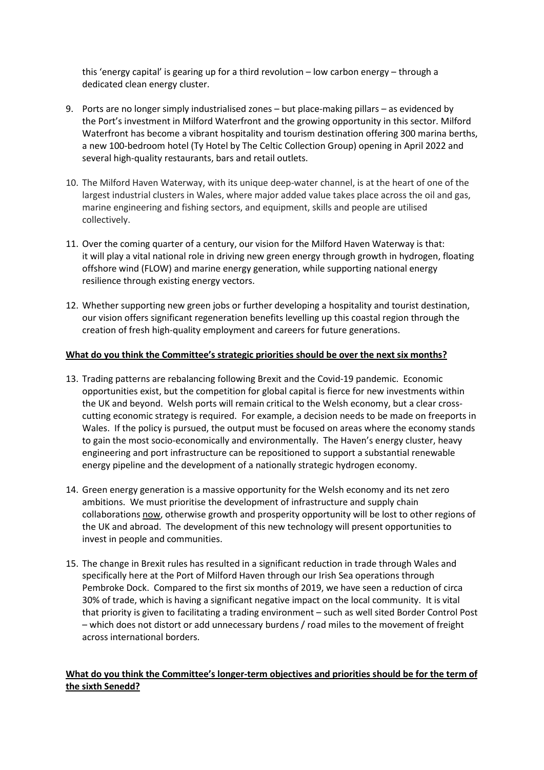this 'energy capital' is gearing up for a third revolution – low carbon energy – through a dedicated clean energy cluster.

- 9. Ports are no longer simply industrialised zones but place-making pillars as evidenced by the Port's investment in Milford Waterfront and the growing opportunity in this sector. Milford Waterfront has become a vibrant hospitality and tourism destination offering 300 marina berths, a new 100-bedroom hotel (Ty Hotel by The Celtic Collection Group) opening in April 2022 and several high-quality restaurants, bars and retail outlets.
- 10. The Milford Haven Waterway, with its unique deep-water channel, is at the heart of one of the largest industrial clusters in Wales, where major added value takes place across the oil and gas, marine engineering and fishing sectors, and equipment, skills and people are utilised collectively.
- 11. Over the coming quarter of a century, our vision for the Milford Haven Waterway is that: it will play a vital national role in driving new green energy through growth in hydrogen, floating offshore wind (FLOW) and marine energy generation, while supporting national energy resilience through existing energy vectors.
- 12. Whether supporting new green jobs or further developing a hospitality and tourist destination, our vision offers significant regeneration benefits levelling up this coastal region through the creation of fresh high-quality employment and careers for future generations.

#### **What do you think the Committee's strategic priorities should be over the next six months?**

- 13. Trading patterns are rebalancing following Brexit and the Covid-19 pandemic. Economic opportunities exist, but the competition for global capital is fierce for new investments within the UK and beyond. Welsh ports will remain critical to the Welsh economy, but a clear crosscutting economic strategy is required. For example, a decision needs to be made on freeports in Wales. If the policy is pursued, the output must be focused on areas where the economy stands to gain the most socio-economically and environmentally. The Haven's energy cluster, heavy engineering and port infrastructure can be repositioned to support a substantial renewable energy pipeline and the development of a nationally strategic hydrogen economy.
- 14. Green energy generation is a massive opportunity for the Welsh economy and its net zero ambitions. We must prioritise the development of infrastructure and supply chain collaborations now, otherwise growth and prosperity opportunity will be lost to other regions of the UK and abroad. The development of this new technology will present opportunities to invest in people and communities.
- 15. The change in Brexit rules has resulted in a significant reduction in trade through Wales and specifically here at the Port of Milford Haven through our Irish Sea operations through Pembroke Dock. Compared to the first six months of 2019, we have seen a reduction of circa 30% of trade, which is having a significant negative impact on the local community. It is vital that priority is given to facilitating a trading environment – such as well sited Border Control Post – which does not distort or add unnecessary burdens / road miles to the movement of freight across international borders.

## **What do you think the Committee's longer-term objectives and priorities should be for the term of the sixth Senedd?**